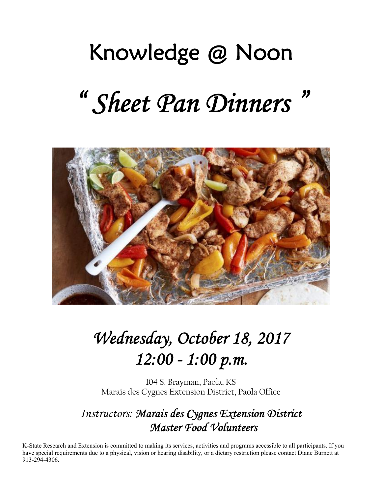# Knowledge @ Noon

# *" Sheet Pan Dinners "*



# *Wednesday, October 18, 2017 12:00 - 1:00 p.m.*

104 S. Brayman, Paola, KS Marais des Cygnes Extension District, Paola Office

## *Instructors: Marais des Cygnes Extension District Master Food Volunteers*

K-State Research and Extension is committed to making its services, activities and programs accessible to all participants. If you have special requirements due to a physical, vision or hearing disability, or a dietary restriction please contact Diane Burnett at 913-294-4306.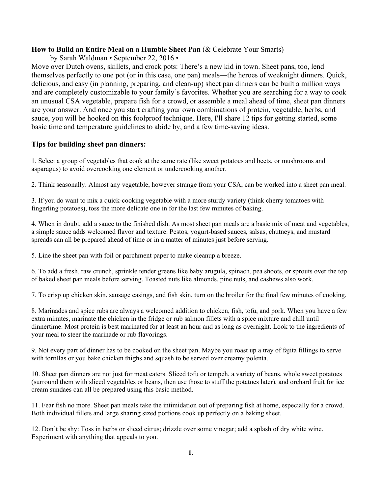#### **How to Build an Entire Meal on a Humble Sheet Pan** (& Celebrate Your Smarts)

by Sarah Waldman • September 22, 2016 •

Move over Dutch ovens, skillets, and crock pots: There's a new kid in town. Sheet pans, too, lend themselves perfectly to one pot (or in this case, one pan) meals—the heroes of weeknight dinners. Quick, delicious, and easy (in planning, preparing, and clean-up) sheet pan dinners can be built a million ways and are completely customizable to your family's favorites. Whether you are searching for a way to cook an unusual CSA vegetable, prepare fish for a crowd, or assemble a meal ahead of time, sheet pan dinners are your answer. And once you start crafting your own combinations of protein, vegetable, herbs, and sauce, you will be hooked on this foolproof technique. Here, I'll share 12 tips for getting started, some basic time and temperature guidelines to abide by, and a few time-saving ideas.

#### **Tips for building sheet pan dinners:**

1. Select a group of vegetables that cook at the same rate (like sweet potatoes and beets, or mushrooms and asparagus) to avoid overcooking one element or undercooking another.

2. Think seasonally. Almost any vegetable, however strange from your CSA, can be worked into a sheet pan meal.

3. If you do want to mix a quick-cooking vegetable with a more sturdy variety (think cherry tomatoes with fingerling potatoes), toss the more delicate one in for the last few minutes of baking.

4. When in doubt, add a sauce to the finished dish. As most sheet pan meals are a basic mix of meat and vegetables, a simple sauce adds welcomed flavor and texture. Pestos, yogurt-based sauces, salsas, chutneys, and mustard spreads can all be prepared ahead of time or in a matter of minutes just before serving.

5. Line the sheet pan with foil or parchment paper to make cleanup a breeze.

6. To add a fresh, raw crunch, sprinkle tender greens like baby arugula, spinach, pea shoots, or sprouts over the top of baked sheet pan meals before serving. Toasted nuts like almonds, pine nuts, and cashews also work.

7. To crisp up chicken skin, sausage casings, and fish skin, turn on the broiler for the final few minutes of cooking.

8. Marinades and spice rubs are always a welcomed addition to chicken, fish, tofu, and pork. When you have a few extra minutes, marinate the chicken in the fridge or rub salmon fillets with a spice mixture and chill until dinnertime. Most protein is best marinated for at least an hour and as long as overnight. Look to the ingredients of your meal to steer the marinade or rub flavorings.

9. Not every part of dinner has to be cooked on the sheet pan. Maybe you roast up a tray of fajita fillings to serve with tortillas or you bake chicken thighs and squash to be served over creamy polenta.

10. Sheet pan dinners are not just for meat eaters. Sliced tofu or tempeh, a variety of beans, whole sweet potatoes (surround them with sliced vegetables or beans, then use those to stuff the potatoes later), and orchard fruit for ice cream sundaes can all be prepared using this basic method.

11. Fear fish no more. Sheet pan meals take the intimidation out of preparing fish at home, especially for a crowd. Both individual fillets and large sharing sized portions cook up perfectly on a baking sheet.

12. Don't be shy: Toss in herbs or sliced citrus; drizzle over some vinegar; add a splash of dry white wine. Experiment with anything that appeals to you.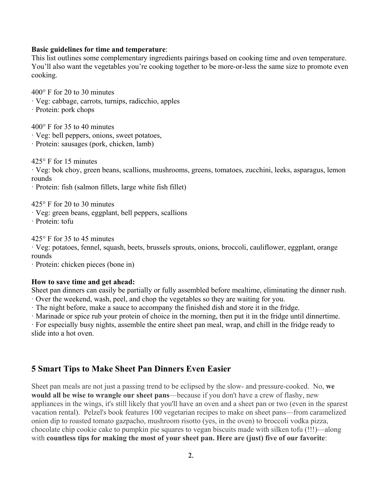#### **Basic guidelines for time and temperature**:

This list outlines some complementary ingredients pairings based on cooking time and oven temperature. You'll also want the vegetables you're cooking together to be more-or-less the same size to promote even cooking.

400° F for 20 to 30 minutes

· Veg: cabbage, carrots, turnips, radicchio, apples

· Protein: pork chops

400° F for 35 to 40 minutes

- · Veg: bell peppers, onions, sweet potatoes,
- · Protein: sausages (pork, chicken, lamb)

425° F for 15 minutes

· Veg: bok choy, green beans, scallions, mushrooms, greens, tomatoes, zucchini, leeks, asparagus, lemon rounds

· Protein: fish (salmon fillets, large white fish fillet)

425° F for 20 to 30 minutes

· Veg: green beans, eggplant, bell peppers, scallions

· Protein: tofu

425° F for 35 to 45 minutes

· Veg: potatoes, fennel, squash, beets, brussels sprouts, onions, broccoli, cauliflower, eggplant, orange rounds

· Protein: chicken pieces (bone in)

#### **How to save time and get ahead:**

Sheet pan dinners can easily be partially or fully assembled before mealtime, eliminating the dinner rush.

· Over the weekend, wash, peel, and chop the vegetables so they are waiting for you.

· The night before, make a sauce to accompany the finished dish and store it in the fridge.

· Marinade or spice rub your protein of choice in the morning, then put it in the fridge until dinnertime.

· For especially busy nights, assemble the entire sheet pan meal, wrap, and chill in the fridge ready to slide into a hot oven.

#### **5 Smart Tips to Make Sheet Pan Dinners Even Easier**

Sheet pan meals are not just a passing trend to be eclipsed by the slow- and pressure-cooked. No, **we would all be wise to wrangle our sheet pans**—because if you don't have a crew of flashy, new appliances in the wings, it's still likely that you'll have an oven and a sheet pan or two (even in the sparest vacation rental). Pelzel's book features 100 vegetarian recipes to make on sheet pans—from caramelized onion dip to roasted tomato gazpacho, mushroom risotto (yes, in the oven) to broccoli vodka pizza, chocolate chip cookie cake to pumpkin pie squares to vegan biscuits made with silken tofu (!!!)—along with **countless tips for making the most of your sheet pan. Here are (just) five of our favorite**: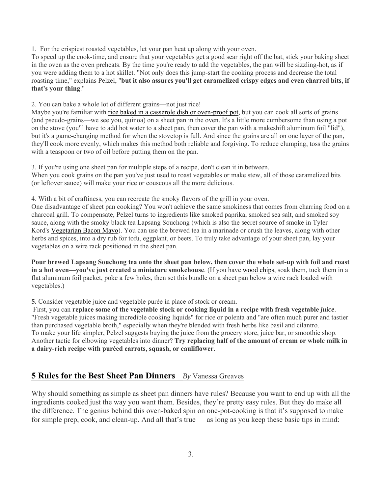1. For the crispiest roasted vegetables, let your pan heat up along with your oven.

To speed up the cook-time, and ensure that your vegetables get a good sear right off the bat, stick your baking sheet in the oven as the oven preheats. By the time you're ready to add the vegetables, the pan will be sizzling-hot, as if you were adding them to a hot skillet. "Not only does this jump-start the cooking process and decrease the total roasting time," explains Pelzel, "**but it also assures you'll get caramelized crispy edges and even charred bits, if that's your thing**."

2. You can bake a whole lot of different grains—not just rice!

Maybe you're familiar with rice baked in a casserole dish or oven-proof pot, but you can cook all sorts of grains (and pseudo-grains—we see you, quinoa) on a sheet pan in the oven. It's a little more cumbersome than using a pot on the stove (you'll have to add hot water to a sheet pan, then cover the pan with a makeshift aluminum foil "lid"), but it's a game-changing method for when the stovetop is full. And since the grains are all on one layer of the pan, they'll cook more evenly, which makes this method both reliable and forgiving. To reduce clumping, toss the grains with a teaspoon or two of oil before putting them on the pan.

3. If you're using one sheet pan for multiple steps of a recipe, don't clean it in between. When you cook grains on the pan you've just used to roast vegetables or make stew, all of those caramelized bits (or leftover sauce) will make your rice or couscous all the more delicious.

4. With a bit of craftiness, you can recreate the smoky flavors of the grill in your oven. One disadvantage of sheet pan cooking? You won't achieve the same smokiness that comes from charring food on a

charcoal grill. To compensate, Pelzel turns to ingredients like smoked paprika, smoked sea salt, and smoked soy sauce, along with the smoky black tea Lapsang Souchong (which is also the secret source of smoke in Tyler Kord's Vegetarian Bacon Mayo). You can use the brewed tea in a marinade or crush the leaves, along with other herbs and spices, into a dry rub for tofu, eggplant, or beets. To truly take advantage of your sheet pan, lay your vegetables on a wire rack positioned in the sheet pan.

**Pour brewed Lapsang Souchong tea onto the sheet pan below, then cover the whole set-up with foil and roast in a hot oven—you've just created a miniature smokehouse**. (If you have wood chips, soak them, tuck them in a flat aluminum foil packet, poke a few holes, then set this bundle on a sheet pan below a wire rack loaded with vegetables.)

**5.** Consider vegetable juice and vegetable purée in place of stock or cream.

 First, you can **replace some of the vegetable stock or cooking liquid in a recipe with fresh vegetable** *juice*. "Fresh vegetable juices making incredible cooking liquids" for rice or polenta and "are often much purer and tastier than purchased vegetable broth," especially when they're blended with fresh herbs like basil and cilantro. To make your life simpler, Pelzel suggests buying the juice from the grocery store, juice bar, or smoothie shop. Another tactic for elbowing vegetables into dinner? **Try replacing half of the amount of cream or whole milk in a dairy-rich recipe with puréed carrots, squash, or cauliflower**.

#### **5 Rules for the Best Sheet Pan Dinners** *By* Vanessa Greaves

Why should something as simple as sheet pan dinners have rules? Because you want to end up with all the ingredients cooked just the way you want them. Besides, they're pretty easy rules. But they do make all the difference. The genius behind this oven-baked spin on one-pot-cooking is that it's supposed to make for simple prep, cook, and clean-up. And all that's true — as long as you keep these basic tips in mind: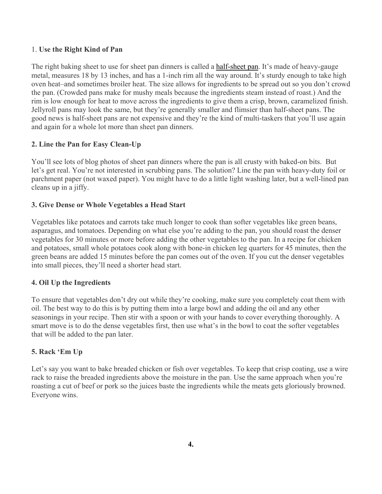#### 1. **Use the Right Kind of Pan**

The right baking sheet to use for sheet pan dinners is called a half-sheet pan. It's made of heavy-gauge metal, measures 18 by 13 inches, and has a 1-inch rim all the way around. It's sturdy enough to take high oven heat–and sometimes broiler heat. The size allows for ingredients to be spread out so you don't crowd the pan. (Crowded pans make for mushy meals because the ingredients steam instead of roast.) And the rim is low enough for heat to move across the ingredients to give them a crisp, brown, caramelized finish. Jellyroll pans may look the same, but they're generally smaller and flimsier than half-sheet pans. The good news is half-sheet pans are not expensive and they're the kind of multi-taskers that you'll use again and again for a whole lot more than sheet pan dinners.

#### **2. Line the Pan for Easy Clean-Up**

You'll see lots of blog photos of sheet pan dinners where the pan is all crusty with baked-on bits. But let's get real. You're not interested in scrubbing pans. The solution? Line the pan with heavy-duty foil or parchment paper (not waxed paper). You might have to do a little light washing later, but a well-lined pan cleans up in a jiffy.

#### **3. Give Dense or Whole Vegetables a Head Start**

Vegetables like potatoes and carrots take much longer to cook than softer vegetables like green beans, asparagus, and tomatoes. Depending on what else you're adding to the pan, you should roast the denser vegetables for 30 minutes or more before adding the other vegetables to the pan. In a recipe for chicken and potatoes, small whole potatoes cook along with bone-in chicken leg quarters for 45 minutes, then the green beans are added 15 minutes before the pan comes out of the oven. If you cut the denser vegetables into small pieces, they'll need a shorter head start.

#### **4. Oil Up the Ingredients**

To ensure that vegetables don't dry out while they're cooking, make sure you completely coat them with oil. The best way to do this is by putting them into a large bowl and adding the oil and any other seasonings in your recipe. Then stir with a spoon or with your hands to cover everything thoroughly. A smart move is to do the dense vegetables first, then use what's in the bowl to coat the softer vegetables that will be added to the pan later.

#### **5. Rack 'Em Up**

Let's say you want to bake breaded chicken or fish over vegetables. To keep that crisp coating, use a wire rack to raise the breaded ingredients above the moisture in the pan. Use the same approach when you're roasting a cut of beef or pork so the juices baste the ingredients while the meats gets gloriously browned. Everyone wins.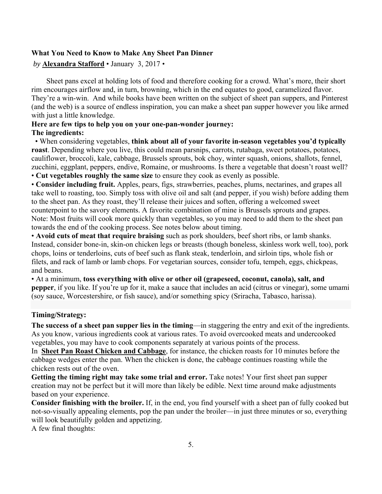#### **What You Need to Know to Make Any Sheet Pan Dinner**

#### *by* **Alexandra Stafford** • January 3, 2017 *•*

 Sheet pans excel at holding lots of food and therefore cooking for a crowd. What's more, their short rim encourages airflow and, in turn, browning, which in the end equates to good, caramelized flavor. They're a win-win. And while books have been written on the subject of sheet pan suppers, and Pinterest (and the web) is a source of endless inspiration, you can make a sheet pan supper however you like armed with just a little knowledge.

#### **Here are few tips to help you on your one-pan-wonder journey: The ingredients:**

 • When considering vegetables, **think about all of your favorite in-season vegetables you'd typically roast**. Depending where you live, this could mean parsnips, carrots, rutabaga, sweet potatoes, potatoes, cauliflower, broccoli, kale, cabbage, Brussels sprouts, bok choy, winter squash, onions, shallots, fennel, zucchini, eggplant, peppers, endive, Romaine, or mushrooms. Is there a vegetable that doesn't roast well?

• **Cut vegetables roughly the same size** to ensure they cook as evenly as possible.

• **Consider including fruit.** Apples, pears, figs, strawberries, peaches, plums, nectarines, and grapes all take well to roasting, too. Simply toss with olive oil and salt (and pepper, if you wish) before adding them to the sheet pan. As they roast, they'll release their juices and soften, offering a welcomed sweet counterpoint to the savory elements. A favorite combination of mine is Brussels sprouts and grapes. Note: Most fruits will cook more quickly than vegetables, so you may need to add them to the sheet pan towards the end of the cooking process. See notes below about timing.

• **Avoid cuts of meat that require braising** such as pork shoulders, beef short ribs, or lamb shanks. Instead, consider bone-in, skin-on chicken legs or breasts (though boneless, skinless work well, too), pork chops, loins or tenderloins, cuts of beef such as flank steak, tenderloin, and sirloin tips, whole fish or filets, and rack of lamb or lamb chops. For vegetarian sources, consider tofu, tempeh, eggs, chickpeas, and beans.

• At a minimum, **toss everything with olive or other oil (grapeseed, coconut, canola), salt, and pepper**, if you like. If you're up for it, make a sauce that includes an acid (citrus or vinegar), some umami (soy sauce, Worcestershire, or fish sauce), and/or something spicy (Sriracha, Tabasco, harissa).

#### **Timing/Strategy:**

**The success of a sheet pan supper lies in the timing**—in staggering the entry and exit of the ingredients. As you know, various ingredients cook at various rates. To avoid overcooked meats and undercooked vegetables, you may have to cook components separately at various points of the process.

In **Sheet Pan Roast Chicken and Cabbage**, for instance, the chicken roasts for 10 minutes before the cabbage wedges enter the pan. When the chicken is done, the cabbage continues roasting while the chicken rests out of the oven.

**Getting the timing right may take some trial and error.** Take notes! Your first sheet pan supper creation may not be perfect but it will more than likely be edible. Next time around make adjustments based on your experience.

**Consider finishing with the broiler.** If, in the end, you find yourself with a sheet pan of fully cooked but not-so-visually appealing elements, pop the pan under the broiler—in just three minutes or so, everything will look beautifully golden and appetizing.

A few final thoughts: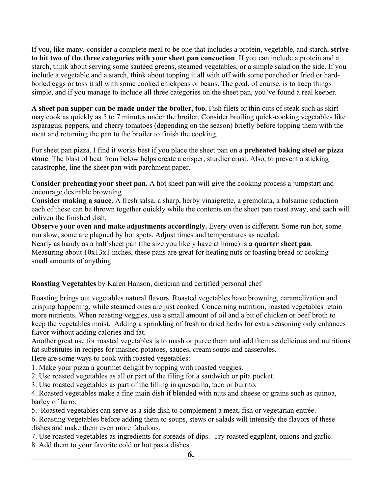If you, like many, consider a complete meal to be one that includes a protein, vegetable, and starch, **strive to hit two of the three categories with your sheet pan concoction**. If you can include a protein and a starch, think about serving some sautéed greens, steamed vegetables, or a simple salad on the side. If you include a vegetable and a starch, think about topping it all with off with some poached or fried or hardboiled eggs or toss it all with some cooked chickpeas or beans. The goal, of course, is to keep things simple, and if you manage to include all three categories on the sheet pan, you've found a real keeper.

**A sheet pan supper can be made under the broiler, too.** Fish filets or thin cuts of steak such as skirt may cook as quickly as 5 to 7 minutes under the broiler. Consider broiling quick-cooking vegetables like asparagus, peppers, and cherry tomatoes (depending on the season) briefly before topping them with the meat and returning the pan to the broiler to finish the cooking.

For sheet pan pizza, I find it works best if you place the sheet pan on a **preheated baking steel or pizza stone**. The blast of heat from below helps create a crisper, sturdier crust. Also, to prevent a sticking catastrophe, line the sheet pan with parchment paper.

**Consider preheating your sheet pan.** A hot sheet pan will give the cooking process a jumpstart and encourage desirable browning.

**Consider making a sauce.** A fresh salsa, a sharp, herby vinaigrette, a gremolata, a balsamic reduction each of these can be thrown together quickly while the contents on the sheet pan roast away, and each will enliven the finished dish.

**Observe your oven and make adjustments accordingly.** Every oven is different. Some run hot, some run slow, some are plagued by hot spots. Adjust times and temperatures as needed.

Nearly as handy as a half sheet pan (the size you likely have at home) is **a quarter sheet pan**. Measuring about 10x13x1 inches, these pans are great for heating nuts or toasting bread or cooking small amounts of anything.

#### **Roasting Vegetables** by Karen Hanson, dietician and certified personal chef

Roasting brings out vegetables natural flavors. Roasted vegetables have browning, caramelization and crisping happening, while steamed ones are just cooked. Concerning nutrition, roasted vegetables retain more nutrients. When roasting veggies, use a small amount of oil and a bit of chicken or beef broth to keep the vegetables moist. Adding a sprinkling of fresh or dried herbs for extra seasoning only enhances flavor without adding calories and fat.

Another great use for roasted vegetables is to mash or puree them and add them as delicious and nutritious fat substitutes in recipes for mashed potatoes, sauces, cream soups and casseroles.

Here are some ways to cook with roasted vegetables:

- 1. Make your pizza a gourmet delight by topping with roasted veggies.
- 2. Use roasted vegetables as all or part of the filing for a sandwich or pita pocket.
- 3. Use roasted vegetables as part of the filling in quesadilla, taco or burrito.

4. Roasted vegetables make a fine main dish if blended with nuts and cheese or grains such as quinoa, barley of farro.

5. Roasted vegetables can serve as a side dish to complement a meat, fish or vegetarian entrée.

6. Roasting vegetables before adding them to soups, stews or salads will intensify the flavors of these dishes and make them even more fabulous.

7. Use roasted vegetables as ingredients for spreads of dips. Try roasted eggplant, onions and garlic.

8. Add them to your favorite cold or hot pasta dishes.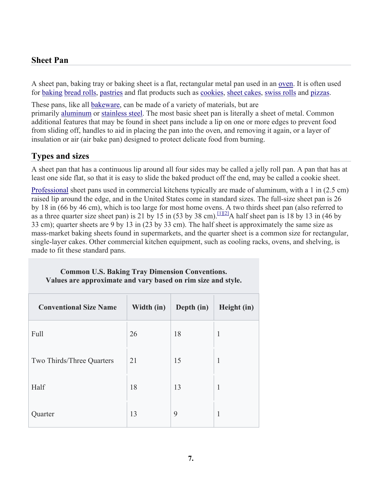#### **Sheet Pan**

A sheet pan, baking tray or baking sheet is a flat, rectangular metal pan used in an oven. It is often used for baking bread rolls, pastries and flat products such as cookies, sheet cakes, swiss rolls and pizzas.

These pans, like all bakeware, can be made of a variety of materials, but are primarily aluminum or stainless steel. The most basic sheet pan is literally a sheet of metal. Common additional features that may be found in sheet pans include a lip on one or more edges to prevent food from sliding off, handles to aid in placing the pan into the oven, and removing it again, or a layer of insulation or air (air bake pan) designed to protect delicate food from burning.

### **Types and sizes**

A sheet pan that has a continuous lip around all four sides may be called a jelly roll pan. A pan that has at least one side flat, so that it is easy to slide the baked product off the end, may be called a cookie sheet.

Professional sheet pans used in commercial kitchens typically are made of aluminum, with a 1 in (2.5 cm) raised lip around the edge, and in the United States come in standard sizes. The full-size sheet pan is 26 by 18 in (66 by 46 cm), which is too large for most home ovens. A two thirds sheet pan (also referred to as a three quarter size sheet pan) is 21 by 15 in (53 by 38 cm). [1][2] A half sheet pan is 18 by 13 in (46 by 33 cm); quarter sheets are 9 by 13 in (23 by 33 cm). The half sheet is approximately the same size as mass-market baking sheets found in supermarkets, and the quarter sheet is a common size for rectangular, single-layer cakes. Other commercial kitchen equipment, such as cooling racks, ovens, and shelving, is made to fit these standard pans.

#### **Common U.S. Baking Tray Dimension Conventions. Values are approximate and vary based on rim size and style.**

| <b>Conventional Size Name</b> | Width (in) | Depth (in) | Height (in)  |
|-------------------------------|------------|------------|--------------|
| Full                          | 26         | 18         | $\mathbf{1}$ |
| Two Thirds/Three Quarters     | 21         | 15         | 1            |
| Half                          | 18         | 13         | 1            |
| Quarter                       | 13         | 9          | 1            |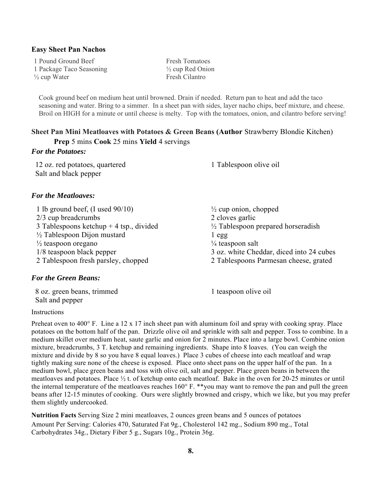#### **Easy Sheet Pan Nachos**

1 Pound Ground Beef Fresh Tomatoes 1 Package Taco Seasoning ½ cup Red Onion  $\frac{1}{2}$  cup Water Fresh Cilantro

Cook ground beef on medium heat until browned. Drain if needed. Return pan to heat and add the taco seasoning and water. Bring to a simmer. In a sheet pan with sides, layer nacho chips, beef mixture, and cheese. Broil on HIGH for a minute or until cheese is melty. Top with the tomatoes, onion, and cilantro before serving!

#### **Sheet Pan Mini Meatloaves with Potatoes & Green Beans (Author** Strawberry Blondie Kitchen) **Prep** 5 mins **Cook** 25 mins **Yield** 4 servings

#### *For the Potatoes:*

 12 oz. red potatoes, quartered 1 Tablespoon olive oil Salt and black pepper

#### *For the Meatloaves:*

1 lb ground beef, (I used 90/10) ½ cup onion, chopped 2/3 cup breadcrumbs 2 cloves garlic 3 Tablespoons ketchup + 4 tsp., divided  $\frac{1}{2}$  Tablespoon prepared horseradish  $\frac{1}{2}$  Tablespoon Dijon mustard 1 egg  $\frac{1}{2}$  teaspoon oregano  $\frac{1}{4}$  teaspoon salt 1/8 teaspoon black pepper 3 oz. white Cheddar, diced into 24 cubes 2 Tablespoon fresh parsley, chopped 2 Tablespoons Parmesan cheese, grated

#### *For the Green Beans:*

8 oz. green beans, trimmed 1 teaspoon olive oil Salt and pepper

#### Instructions

Preheat oven to 400° F. Line a 12 x 17 inch sheet pan with aluminum foil and spray with cooking spray. Place potatoes on the bottom half of the pan. Drizzle olive oil and sprinkle with salt and pepper. Toss to combine. In a medium skillet over medium heat, saute garlic and onion for 2 minutes. Place into a large bowl. Combine onion mixture, breadcrumbs, 3 T. ketchup and remaining ingredients. Shape into 8 loaves. (You can weigh the mixture and divide by 8 so you have 8 equal loaves.) Place 3 cubes of cheese into each meatloaf and wrap tightly making sure none of the cheese is exposed. Place onto sheet pans on the upper half of the pan. In a medium bowl, place green beans and toss with olive oil, salt and pepper. Place green beans in between the meatloaves and potatoes. Place ½ t. of ketchup onto each meatloaf. Bake in the oven for 20-25 minutes or until the internal temperature of the meatloaves reaches 160° F. \*\*you may want to remove the pan and pull the green beans after 12-15 minutes of cooking. Ours were slightly browned and crispy, which we like, but you may prefer them slightly undercooked.

**Nutrition Facts** Serving Size 2 mini meatloaves, 2 ounces green beans and 5 ounces of potatoes Amount Per Serving: Calories 470, Saturated Fat 9g., Cholesterol 142 mg., Sodium 890 mg., Total Carbohydrates 34g., Dietary Fiber 5 g., Sugars 10g., Protein 36g.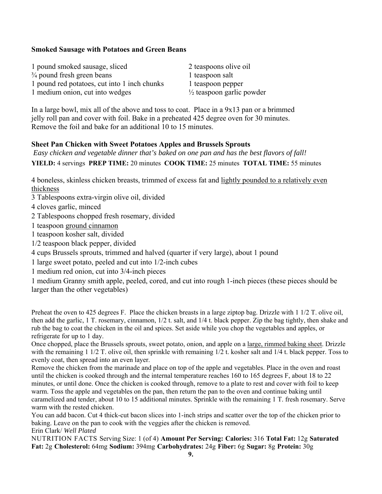#### **Smoked Sausage with Potatoes and Green Beans**

| 1 pound smoked sausage, sliced               | 2 teas             |
|----------------------------------------------|--------------------|
| $\frac{3}{4}$ pound fresh green beans        | 1 teas             |
| 1 pound red potatoes, cut into 1 inch chunks | 1 teas             |
| 1 medium onion, cut into wedges              | $\frac{1}{2}$ teas |

poons olive oil poon salt poon pepper spoon garlic powder

In a large bowl, mix all of the above and toss to coat. Place in a 9x13 pan or a brimmed jelly roll pan and cover with foil. Bake in a preheated 425 degree oven for 30 minutes. Remove the foil and bake for an additional 10 to 15 minutes.

#### **Sheet Pan Chicken with Sweet Potatoes Apples and Brussels Sprouts**

 *Easy chicken and vegetable dinner that's baked on one pan and has the best flavors of fall!*  **YIELD:** 4 servings **PREP TIME:** 20 minutes **COOK TIME:** 25 minutes **TOTAL TIME:** 55 minutes

4 boneless, skinless chicken breasts, trimmed of excess fat and lightly pounded to a relatively even thickness

3 Tablespoons extra-virgin olive oil, divided

4 cloves garlic, minced

2 Tablespoons chopped fresh rosemary, divided

1 teaspoon ground cinnamon

1 teaspoon kosher salt, divided

1/2 teaspoon black pepper, divided

4 cups Brussels sprouts, trimmed and halved (quarter if very large), about 1 pound

1 large sweet potato, peeled and cut into 1/2-inch cubes

1 medium red onion, cut into 3/4-inch pieces

1 medium Granny smith apple, peeled, cored, and cut into rough 1-inch pieces (these pieces should be larger than the other vegetables)

Preheat the oven to 425 degrees F. Place the chicken breasts in a large ziptop bag. Drizzle with 1 1/2 T. olive oil, then add the garlic, 1 T. rosemary, cinnamon, 1/2 t. salt, and 1/4 t. black pepper. Zip the bag tightly, then shake and rub the bag to coat the chicken in the oil and spices. Set aside while you chop the vegetables and apples, or refrigerate for up to 1 day.

Once chopped, place the Brussels sprouts, sweet potato, onion, and apple on a large, rimmed baking sheet. Drizzle with the remaining 1  $1/2$  T. olive oil, then sprinkle with remaining  $1/2$  t. kosher salt and  $1/4$  t. black pepper. Toss to evenly coat, then spread into an even layer.

Remove the chicken from the marinade and place on top of the apple and vegetables. Place in the oven and roast until the chicken is cooked through and the internal temperature reaches 160 to 165 degrees F, about 18 to 22 minutes, or until done. Once the chicken is cooked through, remove to a plate to rest and cover with foil to keep warm. Toss the apple and vegetables on the pan, then return the pan to the oven and continue baking until caramelized and tender, about 10 to 15 additional minutes. Sprinkle with the remaining 1 T. fresh rosemary. Serve warm with the rested chicken.

You can add bacon. Cut 4 thick-cut bacon slices into 1-inch strips and scatter over the top of the chicken prior to baking. Leave on the pan to cook with the veggies after the chicken is removed. Erin Clark/ *Well Plated*

NUTRITION FACTS Serving Size: 1 (of 4) **Amount Per Serving: Calories:** 316 **Total Fat:** 12g **Saturated Fat:** 2g **Cholesterol:** 64mg **Sodium:** 394mg **Carbohydrates:** 24g **Fiber:** 6g **Sugar:** 8g **Protein:** 30g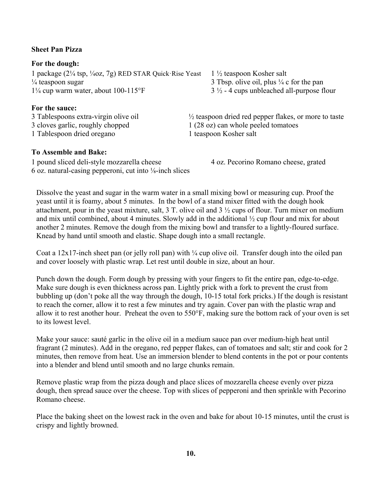#### **Sheet Pan Pizza**

**For the dough:**  1 package (2¼ tsp, ¼oz, 7g) RED STAR Quick·Rise Yeast 1 ½ teaspoon Kosher salt <sup> $\frac{1}{4}$ </sup> teaspoon sugar 3 Tbsp. olive oil, plus  $\frac{1}{4}$  c for the pan  $1\frac{1}{4}$  cup warm water, about 100-115°F 3  $\frac{1}{2}$  - 4 cups unbleached all-purpose flour

#### **For the sauce:**

1 Tablespoon dried oregano 1 teaspoon Kosher salt

#### **To Assemble and Bake:**

1 pound sliced deli-style mozzarella cheese 4 oz. Pecorino Romano cheese, grated 6 oz. natural-casing pepperoni, cut into ⅛-inch slices

3 Tablespoons extra-virgin olive oil  $\frac{1}{2}$  teaspoon dried red pepper flakes, or more to taste 3 cloves garlic, roughly chopped 1 (28 oz) can whole peeled tomatoes

Dissolve the yeast and sugar in the warm water in a small mixing bowl or measuring cup. Proof the yeast until it is foamy, about 5 minutes. In the bowl of a stand mixer fitted with the dough hook attachment, pour in the yeast mixture, salt, 3 T. olive oil and 3 ½ cups of flour. Turn mixer on medium and mix until combined, about 4 minutes. Slowly add in the additional ½ cup flour and mix for about another 2 minutes. Remove the dough from the mixing bowl and transfer to a lightly-floured surface. Knead by hand until smooth and elastic. Shape dough into a small rectangle.

Coat a 12x17-inch sheet pan (or jelly roll pan) with  $\frac{1}{4}$  cup olive oil. Transfer dough into the oiled pan and cover loosely with plastic wrap. Let rest until double in size, about an hour.

Punch down the dough. Form dough by pressing with your fingers to fit the entire pan, edge-to-edge. Make sure dough is even thickness across pan. Lightly prick with a fork to prevent the crust from bubbling up (don't poke all the way through the dough, 10-15 total fork pricks.) If the dough is resistant to reach the corner, allow it to rest a few minutes and try again. Cover pan with the plastic wrap and allow it to rest another hour. Preheat the oven to 550°F, making sure the bottom rack of your oven is set to its lowest level.

Make your sauce: sauté garlic in the olive oil in a medium sauce pan over medium-high heat until fragrant (2 minutes). Add in the oregano, red pepper flakes, can of tomatoes and salt; stir and cook for 2 minutes, then remove from heat. Use an immersion blender to blend contents in the pot or pour contents into a blender and blend until smooth and no large chunks remain.

Remove plastic wrap from the pizza dough and place slices of mozzarella cheese evenly over pizza dough, then spread sauce over the cheese. Top with slices of pepperoni and then sprinkle with Pecorino Romano cheese.

Place the baking sheet on the lowest rack in the oven and bake for about 10-15 minutes, until the crust is crispy and lightly browned.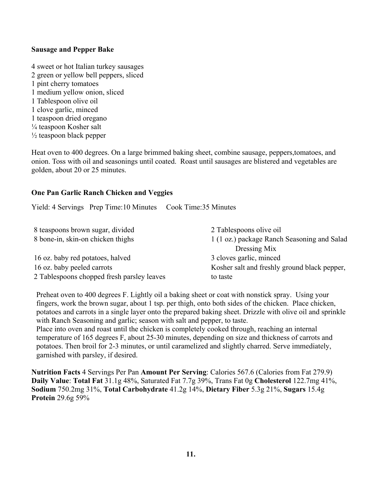#### **Sausage and Pepper Bake**

4 sweet or hot Italian turkey sausages 2 green or yellow bell peppers, sliced 1 pint cherry tomatoes 1 medium yellow onion, sliced 1 Tablespoon olive oil 1 clove garlic, minced 1 teaspoon dried oregano ¼ teaspoon Kosher salt  $\frac{1}{2}$  teaspoon black pepper

Heat oven to 400 degrees. On a large brimmed baking sheet, combine sausage, peppers,tomatoes, and onion. Toss with oil and seasonings until coated. Roast until sausages are blistered and vegetables are golden, about 20 or 25 minutes.

#### **One Pan Garlic Ranch Chicken and Veggies**

Yield: 4 Servings Prep Time:10 Minutes Cook Time:35 Minutes

| 8 teaspoons brown sugar, divided           | 2 Tablespoons olive oil                      |
|--------------------------------------------|----------------------------------------------|
| 8 bone-in, skin-on chicken thighs          | 1 (1 oz.) package Ranch Seasoning and Salad  |
|                                            | Dressing Mix                                 |
| 16 oz. baby red potatoes, halved           | 3 cloves garlic, minced                      |
| 16 oz. baby peeled carrots                 | Kosher salt and freshly ground black pepper, |
| 2 Tablespoons chopped fresh parsley leaves | to taste                                     |

Preheat oven to 400 degrees F. Lightly oil a baking sheet or coat with nonstick spray. Using your fingers, work the brown sugar, about 1 tsp. per thigh, onto both sides of the chicken. Place chicken, potatoes and carrots in a single layer onto the prepared baking sheet. Drizzle with olive oil and sprinkle with Ranch Seasoning and garlic; season with salt and pepper, to taste.

Place into oven and roast until the chicken is completely cooked through, reaching an internal temperature of 165 degrees F, about 25-30 minutes, depending on size and thickness of carrots and potatoes. Then broil for 2-3 minutes, or until caramelized and slightly charred. Serve immediately, garnished with parsley, if desired.

**Nutrition Facts** 4 Servings Per Pan **Amount Per Serving**: Calories 567.6 (Calories from Fat 279.9) **Daily Value**: **Total Fat** 31.1g 48%, Saturated Fat 7.7g 39%, Trans Fat 0g **Cholesterol** 122.7mg 41%, **Sodium** 750.2mg 31%, **Total Carbohydrate** 41.2g 14%, **Dietary Fiber** 5.3g 21%, **Sugars** 15.4g **Protein** 29.6g 59%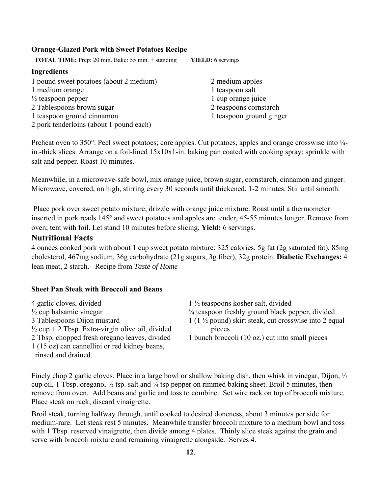#### **Orange-Glazed Pork with Sweet Potatoes Recipe**

**TOTAL TIME:** Prep: 20 min. Bake: 55 min. + standing **YIELD:** 6 servings

#### **Ingredients**

- 1 pound sweet potatoes (about 2 medium) 2 medium apples 1 medium orange 1 teaspoon salt  $\frac{1}{2}$  teaspoon pepper 1 cup orange juice 2 Tablespoons brown sugar 2 teaspoons cornstarch 1 teaspoon ground cinnamon 1 teaspoon ground ginger
- 2 pork tenderloins (about 1 pound each)

Preheat oven to 350°. Peel sweet potatoes; core apples. Cut potatoes, apples and orange crosswise into  $\frac{1}{4}$ in.-thick slices. Arrange on a foil-lined 15x10x1-in. baking pan coated with cooking spray; sprinkle with salt and pepper. Roast 10 minutes.

Meanwhile, in a microwave-safe bowl, mix orange juice, brown sugar, cornstarch, cinnamon and ginger. Microwave, covered, on high, stirring every 30 seconds until thickened, 1-2 minutes. Stir until smooth.

 Place pork over sweet potato mixture; drizzle with orange juice mixture. Roast until a thermometer inserted in pork reads 145° and sweet potatoes and apples are tender, 45-55 minutes longer. Remove from oven; tent with foil. Let stand 10 minutes before slicing. **Yield:** 6 servings.

#### **Nutritional Facts**

4 ounces cooked pork with about 1 cup sweet potato mixture: 325 calories, 5g fat (2g saturated fat), 85mg cholesterol, 467mg sodium, 36g carbohydrate (21g sugars, 3g fiber), 32g protein. **Diabetic Exchanges:** 4 lean meat, 2 starch. Recipe from *Taste of Home*

#### **Sheet Pan Steak with Broccoli and Beans**

4 garlic cloves, divided 1 ½ teaspoons kosher salt, divided  $\frac{1}{2}$  cup + 2 Tbsp. Extra-virgin olive oil, divided pieces 2 Tbsp. chopped fresh oregano leaves, divided 1 bunch broccoli (10 oz.) cut into small pieces 1 (15 oz) can cannellini or red kidney beans, rinsed and drained.

 $\frac{1}{2}$  cup balsamic vinegar  $\frac{3}{4}$  teaspoon freshly ground black pepper, divided 3 Tablespoons Dijon mustard  $1 (1 \frac{1}{2}$  pound) skirt steak, cut crosswise into 2 equal

Finely chop 2 garlic cloves. Place in a large bowl or shallow baking dish, then whisk in vinegar, Dijon, ½ cup oil, 1 Tbsp. oregano,  $\frac{1}{2}$  tsp. salt and  $\frac{1}{4}$  tsp pepper on rimmed baking sheet. Broil 5 minutes, then remove from oven. Add beans and garlic and toss to combine. Set wire rack on top of broccoli mixture. Place steak on rack; discard vinaigrette.

Broil steak, turning halfway through, until cooked to desired doneness, about 3 minutes per side for medium-rare. Let steak rest 5 minutes. Meanwhile transfer broccoli mixture to a medium bowl and toss with 1 Tbsp. reserved vinaigrette, then divide among 4 plates. Thinly slice steak against the grain and serve with broccoli mixture and remaining vinaigrette alongside. Serves 4.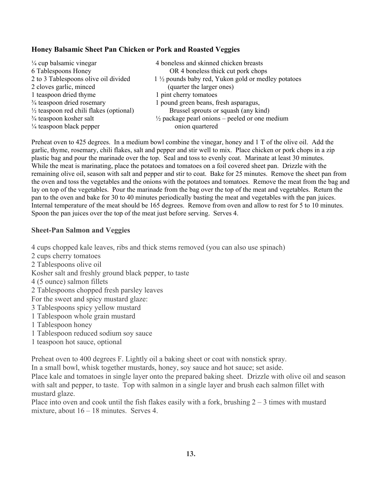#### **Honey Balsamic Sheet Pan Chicken or Pork and Roasted Veggies**

| $\frac{1}{4}$ cup balsamic vinegar                 | 4 boneless and skinned chicken breasts                    |
|----------------------------------------------------|-----------------------------------------------------------|
| 6 Tablespoons Honey                                | OR 4 boneless thick cut pork chops                        |
| 2 to 3 Tablespoons olive oil divided               | 1 1/2 pounds baby red, Yukon gold or medley potatoes      |
| 2 cloves garlic, minced                            | (quarter the larger ones)                                 |
| 1 teaspoon dried thyme                             | 1 pint cherry tomatoes                                    |
| 3/4 teaspoon dried rosemary                        | 1 pound green beans, fresh asparagus,                     |
| $\frac{1}{2}$ teaspoon red chili flakes (optional) | Brussel sprouts or squash (any kind)                      |
| $\frac{3}{4}$ teaspoon kosher salt                 | $\frac{1}{2}$ package pearl onions – peeled or one medium |
| $\frac{1}{4}$ teaspoon black pepper                | onion quartered                                           |

Preheat oven to 425 degrees. In a medium bowl combine the vinegar, honey and 1 T of the olive oil. Add the garlic, thyme, rosemary, chili flakes, salt and pepper and stir well to mix. Place chicken or pork chops in a zip plastic bag and pour the marinade over the top. Seal and toss to evenly coat. Marinate at least 30 minutes. While the meat is marinating, place the potatoes and tomatoes on a foil covered sheet pan. Drizzle with the remaining olive oil, season with salt and pepper and stir to coat. Bake for 25 minutes. Remove the sheet pan from the oven and toss the vegetables and the onions with the potatoes and tomatoes. Remove the meat from the bag and lay on top of the vegetables. Pour the marinade from the bag over the top of the meat and vegetables. Return the pan to the oven and bake for 30 to 40 minutes periodically basting the meat and vegetables with the pan juices. Internal temperature of the meat should be 165 degrees. Remove from oven and allow to rest for 5 to 10 minutes. Spoon the pan juices over the top of the meat just before serving. Serves 4.

#### **Sheet-Pan Salmon and Veggies**

4 cups chopped kale leaves, ribs and thick stems removed (you can also use spinach)

- 2 cups cherry tomatoes
- 2 Tablespoons olive oil
- Kosher salt and freshly ground black pepper, to taste
- 4 (5 ounce) salmon fillets
- 2 Tablespoons chopped fresh parsley leaves
- For the sweet and spicy mustard glaze:
- 3 Tablespoons spicy yellow mustard
- 1 Tablespoon whole grain mustard
- 1 Tablespoon honey
- 1 Tablespoon reduced sodium soy sauce
- 1 teaspoon hot sauce, optional

Preheat oven to 400 degrees F. Lightly oil a baking sheet or coat with nonstick spray.

In a small bowl, whisk together mustards, honey, soy sauce and hot sauce; set aside.

Place kale and tomatoes in single layer onto the prepared baking sheet. Drizzle with olive oil and season with salt and pepper, to taste. Top with salmon in a single layer and brush each salmon fillet with mustard glaze.

Place into oven and cook until the fish flakes easily with a fork, brushing  $2 - 3$  times with mustard mixture, about 16 – 18 minutes. Serves 4.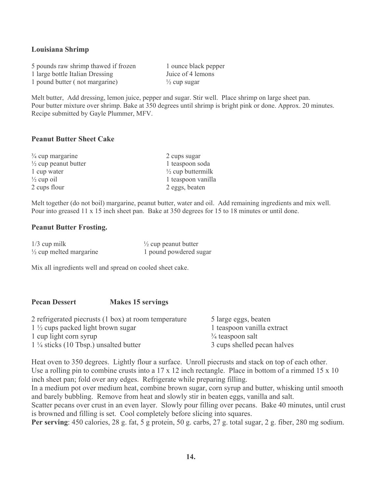#### **Louisiana Shrimp**

5 pounds raw shrimp thawed if frozen 1 ounce black pepper 1 large bottle Italian Dressing Juice of 4 lemons 1 pound butter (not margarine)  $\frac{1}{2}$  cup sugar

Melt butter, Add dressing, lemon juice, pepper and sugar. Stir well. Place shrimp on large sheet pan. Pour butter mixture over shrimp. Bake at 350 degrees until shrimp is bright pink or done. Approx. 20 minutes. Recipe submitted by Gayle Plummer, MFV.

#### **Peanut Butter Sheet Cake**

| $\frac{3}{4}$ cup margarine     | 2 cups sugar                 |
|---------------------------------|------------------------------|
| $\frac{1}{2}$ cup peanut butter | 1 teaspoon soda              |
| 1 cup water                     | $\frac{1}{2}$ cup buttermilk |
| $\frac{1}{2}$ cup oil           | 1 teaspoon vanilla           |
| 2 cups flour                    | 2 eggs, beaten               |

Melt together (do not boil) margarine, peanut butter, water and oil. Add remaining ingredients and mix well. Pour into greased 11 x 15 inch sheet pan. Bake at 350 degrees for 15 to 18 minutes or until done.

#### **Peanut Butter Frosting.**

| $1/3$ cup milk                     | $\frac{1}{2}$ cup peanut butter |
|------------------------------------|---------------------------------|
| $\frac{1}{2}$ cup melted margarine | 1 pound powdered sugar          |

Mix all ingredients well and spread on cooled sheet cake.

### **Pecan Dessert Makes 15 servings**  2 refrigerated piecrusts (1 box) at room temperature 5 large eggs, beaten 1 <sup>1</sup>/<sub>2</sub> cups packed light brown sugar 1 teaspoon vanilla extract

1 cup light corn syrup  $\frac{3}{4}$  teaspoon salt 1 ¼ sticks (10 Tbsp.) unsalted butter 3 cups shelled pecan halves

Heat oven to 350 degrees. Lightly flour a surface. Unroll piecrusts and stack on top of each other. Use a rolling pin to combine crusts into a 17 x 12 inch rectangle. Place in bottom of a rimmed 15 x 10 inch sheet pan; fold over any edges. Refrigerate while preparing filling.

In a medium pot over medium heat, combine brown sugar, corn syrup and butter, whisking until smooth and barely bubbling. Remove from heat and slowly stir in beaten eggs, vanilla and salt.

Scatter pecans over crust in an even layer. Slowly pour filling over pecans. Bake 40 minutes, until crust is browned and filling is set. Cool completely before slicing into squares.

**Per serving**: 450 calories, 28 g. fat, 5 g protein, 50 g. carbs, 27 g. total sugar, 2 g. fiber, 280 mg sodium.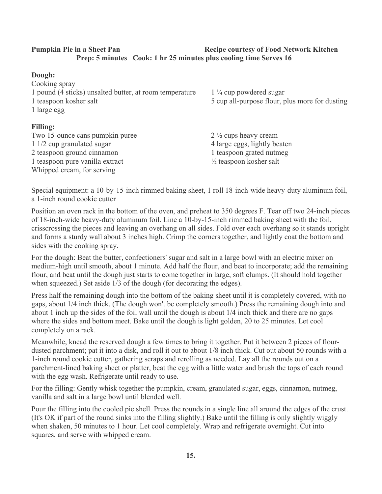#### **Pumpkin Pie in a Sheet Pan Network Communist Pumpersy of Food Network Kitchen Prep: 5 minutes Cook: 1 hr 25 minutes plus cooling time Serves 16**

#### **Dough:**  Cooking spray 1 pound (4 sticks) unsalted butter, at room temperature 1 ¼ cup powdered sugar 1 teaspoon kosher salt 5 cup all-purpose flour, plus more for dusting 1 large egg **Filling:**  Two 15-ounce cans pumpkin puree 2 ½ cups heavy cream 1 1/2 cup granulated sugar 4 large eggs, lightly beaten 2 teaspoon ground cinnamon 1 teaspoon grated nutmeg

Special equipment: a 10-by-15-inch rimmed baking sheet, 1 roll 18-inch-wide heavy-duty aluminum foil, a 1-inch round cookie cutter

1 teaspoon pure vanilla extract  $\frac{1}{2}$  teaspoon kosher salt

Whipped cream, for serving

Position an oven rack in the bottom of the oven, and preheat to 350 degrees F. Tear off two 24-inch pieces of 18-inch-wide heavy-duty aluminum foil. Line a 10-by-15-inch rimmed baking sheet with the foil, crisscrossing the pieces and leaving an overhang on all sides. Fold over each overhang so it stands upright and forms a sturdy wall about 3 inches high. Crimp the corners together, and lightly coat the bottom and sides with the cooking spray.

For the dough: Beat the butter, confectioners' sugar and salt in a large bowl with an electric mixer on medium-high until smooth, about 1 minute. Add half the flour, and beat to incorporate; add the remaining flour, and beat until the dough just starts to come together in large, soft clumps. (It should hold together when squeezed.) Set aside 1/3 of the dough (for decorating the edges).

Press half the remaining dough into the bottom of the baking sheet until it is completely covered, with no gaps, about 1/4 inch thick. (The dough won't be completely smooth.) Press the remaining dough into and about 1 inch up the sides of the foil wall until the dough is about 1/4 inch thick and there are no gaps where the sides and bottom meet. Bake until the dough is light golden, 20 to 25 minutes. Let cool completely on a rack.

Meanwhile, knead the reserved dough a few times to bring it together. Put it between 2 pieces of flourdusted parchment; pat it into a disk, and roll it out to about 1/8 inch thick. Cut out about 50 rounds with a 1-inch round cookie cutter, gathering scraps and rerolling as needed. Lay all the rounds out on a parchment-lined baking sheet or platter, beat the egg with a little water and brush the tops of each round with the egg wash. Refrigerate until ready to use.

For the filling: Gently whisk together the pumpkin, cream, granulated sugar, eggs, cinnamon, nutmeg, vanilla and salt in a large bowl until blended well.

Pour the filling into the cooled pie shell. Press the rounds in a single line all around the edges of the crust. (It's OK if part of the round sinks into the filling slightly.) Bake until the filling is only slightly wiggly when shaken, 50 minutes to 1 hour. Let cool completely. Wrap and refrigerate overnight. Cut into squares, and serve with whipped cream.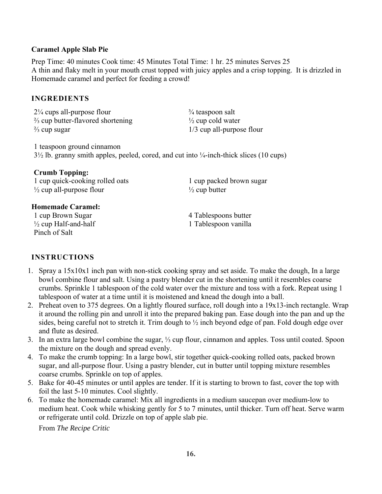#### **Caramel Apple Slab Pie**

Prep Time: 40 minutes Cook time: 45 Minutes Total Time: 1 hr. 25 minutes Serves 25 A thin and flaky melt in your mouth crust topped with juicy apples and a crisp topping. It is drizzled in Homemade caramel and perfect for feeding a crowd!

#### **INGREDIENTS**

 $2\frac{1}{4}$  cups all-purpose flour  $\frac{3}{4}$  teaspoon salt  $\frac{1}{2}$  cup butter-flavored shortening  $\frac{1}{2}$  cup cold water  $\frac{2}{3}$  cup sugar  $\frac{1}{3}$  cup all-purpose flour

1 teaspoon ground cinnamon 3½ lb. granny smith apples, peeled, cored, and cut into ¼-inch-thick slices (10 cups)

#### **Crumb Topping:**

1 cup quick-cooking rolled oats 1 cup packed brown sugar  $\frac{1}{2}$  cup all-purpose flour  $\frac{1}{2}$  cup butter

#### **Homemade Caramel:**

1 cup Brown Sugar 4 Tablespoons butter  $\frac{1}{2}$  cup Half-and-half  $\frac{1}{2}$  Tablespoon vanilla Pinch of Salt

#### **INSTRUCTIONS**

- 1. Spray a 15x10x1 inch pan with non-stick cooking spray and set aside. To make the dough, In a large bowl combine flour and salt. Using a pastry blender cut in the shortening until it resembles coarse crumbs. Sprinkle 1 tablespoon of the cold water over the mixture and toss with a fork. Repeat using 1 tablespoon of water at a time until it is moistened and knead the dough into a ball.
- 2. Preheat oven to 375 degrees. On a lightly floured surface, roll dough into a 19x13-inch rectangle. Wrap it around the rolling pin and unroll it into the prepared baking pan. Ease dough into the pan and up the sides, being careful not to stretch it. Trim dough to ½ inch beyond edge of pan. Fold dough edge over and flute as desired.
- 3. In an extra large bowl combine the sugar, ⅓ cup flour, cinnamon and apples. Toss until coated. Spoon the mixture on the dough and spread evenly.
- 4. To make the crumb topping: In a large bowl, stir together quick-cooking rolled oats, packed brown sugar, and all-purpose flour. Using a pastry blender, cut in butter until topping mixture resembles coarse crumbs. Sprinkle on top of apples.
- 5. Bake for 40-45 minutes or until apples are tender. If it is starting to brown to fast, cover the top with foil the last 5-10 minutes. Cool slightly.
- 6. To make the homemade caramel: Mix all ingredients in a medium saucepan over medium-low to medium heat. Cook while whisking gently for 5 to 7 minutes, until thicker. Turn off heat. Serve warm or refrigerate until cold. Drizzle on top of apple slab pie.

From *The Recipe Critic*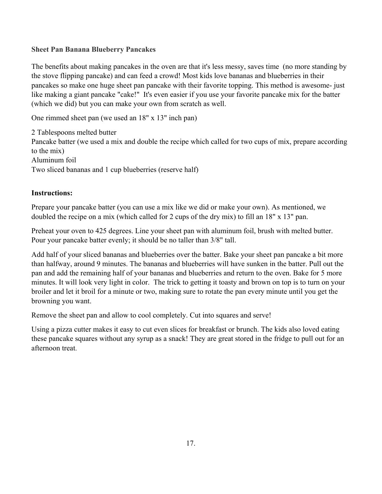#### **Sheet Pan Banana Blueberry Pancakes**

The benefits about making pancakes in the oven are that it's less messy, saves time (no more standing by the stove flipping pancake) and can feed a crowd! Most kids love bananas and blueberries in their pancakes so make one huge sheet pan pancake with their favorite topping. This method is awesome- just like making a giant pancake "cake!" It's even easier if you use your favorite pancake mix for the batter (which we did) but you can make your own from scratch as well.

One rimmed sheet pan (we used an 18" x 13" inch pan)

2 Tablespoons melted butter Pancake batter (we used a mix and double the recipe which called for two cups of mix, prepare according to the mix) Aluminum foil Two sliced bananas and 1 cup blueberries (reserve half)

#### **Instructions:**

Prepare your pancake batter (you can use a mix like we did or make your own). As mentioned, we doubled the recipe on a mix (which called for 2 cups of the dry mix) to fill an 18" x 13" pan.

Preheat your oven to 425 degrees. Line your sheet pan with aluminum foil, brush with melted butter. Pour your pancake batter evenly; it should be no taller than 3/8" tall.

Add half of your sliced bananas and blueberries over the batter. Bake your sheet pan pancake a bit more than halfway, around 9 minutes. The bananas and blueberries will have sunken in the batter. Pull out the pan and add the remaining half of your bananas and blueberries and return to the oven. Bake for 5 more minutes. It will look very light in color. The trick to getting it toasty and brown on top is to turn on your broiler and let it broil for a minute or two, making sure to rotate the pan every minute until you get the browning you want.

Remove the sheet pan and allow to cool completely. Cut into squares and serve!

Using a pizza cutter makes it easy to cut even slices for breakfast or brunch. The kids also loved eating these pancake squares without any syrup as a snack! They are great stored in the fridge to pull out for an afternoon treat.